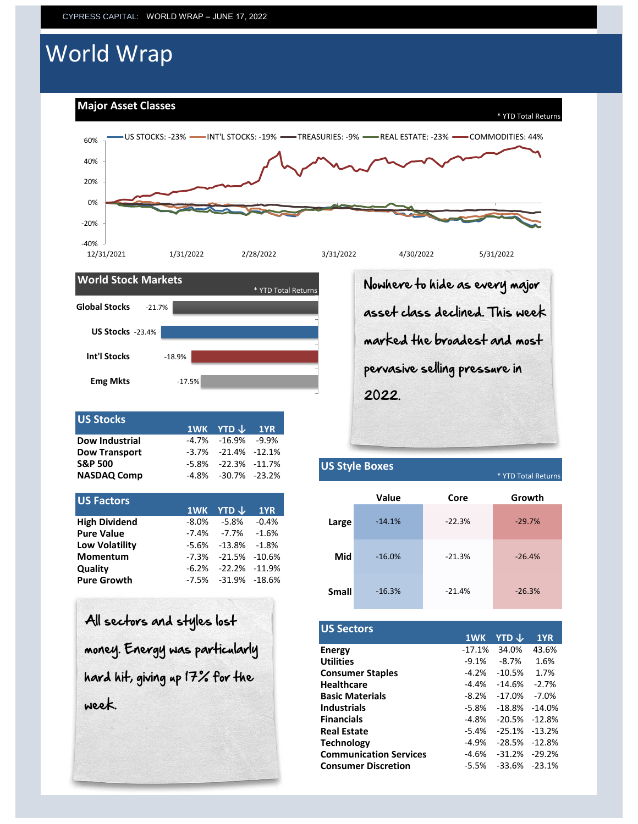# World Wrap

### **Major Asset Classes**





| 1WK YTD↓ 1YR<br>$-4.7\%$ $-16.9\%$ $-9.9\%$<br>$-3.7\%$ $-21.4\%$ $-12.1\%$<br>$-5.8\% -22.3\% -11.7\%$<br>$-4.8\% -30.7\% -23.2\%$ |
|-------------------------------------------------------------------------------------------------------------------------------------|

| <b>US Factors</b>     |                            |       |
|-----------------------|----------------------------|-------|
|                       | 1WK YTD $\downarrow$ 1YR   |       |
| <b>High Dividend</b>  | $-8.0\%$ $-5.8\%$ $-0.4\%$ | Large |
| <b>Pure Value</b>     | $-7.4\%$ $-7.7\%$ $-1.6\%$ |       |
| <b>Low Volatility</b> | $-5.6\% -13.8\% -1.8\%$    |       |
| Momentum              | $-7.3\% -21.5\% -10.6\%$   |       |
| <b>Quality</b>        | $-6.2\% -22.2\% -11.9\%$   |       |
| <b>Pure Growth</b>    | $-7.5\% -31.9\% -18.6\%$   |       |
|                       |                            |       |

All sectors and styles lost money. Energy was particularly hard hit, giving up 17% for the week.

Nowhere to hide as every major asset class declined. This week marked the broadest and most pervasive selling pressure in 2022.

### **US Style Boxes**

 $*$  YTD Total Return

|              | <b>Value</b> | Core     | Growth   |
|--------------|--------------|----------|----------|
| Large        | $-14.1%$     | $-22.3%$ | $-29.7%$ |
| <b>Mid</b>   | $-16.0%$     | $-21.3%$ | $-26.4%$ |
| <b>Small</b> | $-16.3%$     | $-21.4%$ | $-26.3%$ |

| <b>US Sectors</b>             |          |          |           |
|-------------------------------|----------|----------|-----------|
|                               | 1WK      | YTD J    | 1YR       |
| <b>Energy</b>                 | $-17.1%$ | 34.0%    | 43.6%     |
| <b>Utilities</b>              | $-9.1%$  | $-8.7%$  | 1.6%      |
| <b>Consumer Staples</b>       | $-4.2%$  | $-10.5%$ | 1.7%      |
| <b>Healthcare</b>             | -4.4%    | $-14.6%$ | $-2.7%$   |
| <b>Basic Materials</b>        | $-8.2%$  | $-17.0%$ | $-7.0\%$  |
| <b>Industrials</b>            | $-5.8%$  | $-18.8%$ | $-14.0%$  |
| <b>Financials</b>             | $-4.8%$  | $-20.5%$ | $-12.8%$  |
| <b>Real Estate</b>            | $-5.4%$  | $-25.1%$ | $-13.2\%$ |
| <b>Technology</b>             | $-4.9%$  | $-28.5%$ | $-12.8%$  |
| <b>Communication Services</b> | $-4.6%$  | $-31.2%$ | $-29.2%$  |
| <b>Consumer Discretion</b>    | $-5.5%$  | $-33.6%$ | $-23.1%$  |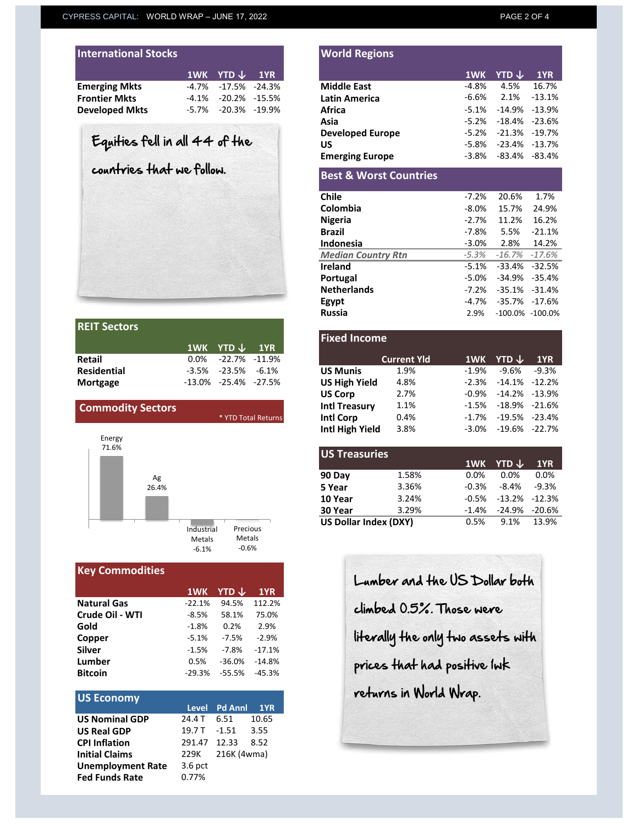| <b>International Stocks</b> |                              |  |
|-----------------------------|------------------------------|--|
|                             | $1$ WK YTD $\downarrow$ 1YR  |  |
| <b>Emerging Mkts</b>        | $-4.7\%$ $-17.5\%$ $-24.3\%$ |  |
| <b>Frontier Mkts</b>        | $-4.1\% -20.2\% -15.5\%$     |  |
| <b>Developed Mkts</b>       | $-5.7\%$ $-20.3\%$ $-19.9\%$ |  |

# Equities fell in all 44 of the

countries that we follow.

| <b>REIT Sectors</b> |                               |  |
|---------------------|-------------------------------|--|
|                     | 1WK YTD $\downarrow$ 1YR      |  |
| Retail              | $0.0\%$ -22.7% -11.9%         |  |
| <b>Residential</b>  | $-3.5\%$ $-23.5\%$ $-6.1\%$   |  |
| <b>Mortgage</b>     | $-13.0\%$ $-25.4\%$ $-27.5\%$ |  |



# **Key Commodities**

|                    | 1WK      | <b>YTD</b> $\downarrow$ | 1YR      |
|--------------------|----------|-------------------------|----------|
| <b>Natural Gas</b> | $-22.1%$ | 94.5%                   | 112.2%   |
| Crude Oil - WTI    | $-8.5%$  | 58.1%                   | 75.0%    |
| Gold               | $-1.8%$  | 0.2%                    | 2.9%     |
| Copper             | $-5.1%$  | $-7.5%$                 | $-2.9%$  |
| <b>Silver</b>      | $-1.5%$  | $-7.8%$                 | $-17.1%$ |
| Lumber             | 0.5%     | $-36.0%$                | $-14.8%$ |
| <b>Bitcoin</b>     | $-29.3%$ | $-55.5%$                | $-45.3%$ |

| <b>US Economy</b>        |              |                    |       |
|--------------------------|--------------|--------------------|-------|
|                          |              | Level Pd Annl 1YR  |       |
| <b>US Nominal GDP</b>    | 24.4 T 6.51  |                    | 10.65 |
| <b>US Real GDP</b>       |              | 19.7 T - 1.51 3.55 |       |
| <b>CPI Inflation</b>     | 291.47 12.33 |                    | 8.52  |
| <b>Initial Claims</b>    |              | 229K 216K (4wma)   |       |
| <b>Unemployment Rate</b> | $3.6$ pct    |                    |       |
| <b>Fed Funds Rate</b>    | 0.77%        |                    |       |

| <b>International Stocks</b>             |                              | <b>World Regions</b>    |          |                              |           |
|-----------------------------------------|------------------------------|-------------------------|----------|------------------------------|-----------|
|                                         | $1$ WK YTD $\sqrt{ }$ 1YR    |                         |          | 1WK YTD $\downarrow$         | 1YR       |
| <b>Emerging Mkts</b>                    | $-4.7\%$ $-17.5\%$ $-24.3\%$ | <b>Middle East</b>      | -4.8%    | 4.5%                         | 16.7%     |
| <b>Frontier Mkts</b>                    | $-4.1\%$ $-20.2\%$ $-15.5\%$ | <b>Latin America</b>    | -6.6%    | $2.1\%$                      | $-13.1\%$ |
| <b>Developed Mkts</b>                   | $-5.7\%$ $-20.3\%$ $-19.9\%$ | <b>Africa</b>           |          | $-5.1\%$ $-14.9\%$ $-13.9\%$ |           |
|                                         |                              | Asia                    | $-5.2\%$ | -18.4% -23.6%                |           |
| $F_{\alpha}$ iliza Addie all $AA$ Allia |                              | <b>Developed Europe</b> |          | $-5.2\%$ $-21.3\%$ $-19.7\%$ |           |

**US** -5.8% -23.4% -13.7% **Emerging Europe**  $-3.8\%$   $-83.4\%$   $-83.4\%$ 

#### **Best & Worst Countries**

| <b>Chile</b>              | $-7.2%$  | 20.6%                        | 1.7%     |
|---------------------------|----------|------------------------------|----------|
| Colombia                  | $-8.0\%$ | 15.7%                        | 24.9%    |
| <b>Nigeria</b>            | $-2.7%$  | 11.2%                        | 16.2%    |
| <b>Brazil</b>             | -7.8%    | 5.5%                         | $-21.1%$ |
| Indonesia                 | $-3.0%$  | 2.8%                         | 14.2%    |
| <b>Median Country Rtn</b> | $-5.3%$  | $-16.7\%$ $-17.6\%$          |          |
| <b>Ireland</b>            |          | $-5.1\% -33.4\% -32.5\%$     |          |
| Portugal                  |          | $-5.0\%$ $-34.9\%$ $-35.4\%$ |          |
| <b>Netherlands</b>        | -7.2%    | $-35.1\% -31.4\%$            |          |
| Egypt                     |          | -4.7% -35.7% -17.6%          |          |
| <b>Russia</b>             | 2.9%     | $-100.0\% -100.0\%$          |          |
|                           |          |                              |          |

|                          |         | 1WK YTD $\downarrow$          | $\sqrt{1YR}$        |
|--------------------------|---------|-------------------------------|---------------------|
| Retail                   | $0.0\%$ | -22.7%                        | $-11.9\%$           |
| <b>Residential</b>       | -3.5%   | $-23.5%$                      | -6.1%               |
| Mortgage                 |         | $-13.0\%$ $-25.4\%$ $-27.5\%$ |                     |
|                          |         |                               |                     |
| <b>Commodity Sectors</b> |         |                               |                     |
|                          |         |                               | * YTD Total Returns |
|                          |         |                               |                     |

| <b>US Treasuries</b>         |       |         |                          |         |
|------------------------------|-------|---------|--------------------------|---------|
|                              |       |         | 1WK YTD $\downarrow$     | 1YR     |
| 90 Day                       | 1.58% | 0.0%    | 0.0%                     | 0.0%    |
| 5 Year                       | 3.36% | $-0.3%$ | -8.4%                    | $-9.3%$ |
| 10 Year                      | 3.24% |         | $-0.5\% -13.2\% -12.3\%$ |         |
| 30 Year                      | 3.29% | -1.4%   | -24.9% -20.6%            |         |
| <b>US Dollar Index (DXY)</b> |       | 0.5%    | 9.1% 13.9%               |         |

Lumber and the US Dollar both climbed 0.5%. Those were literally the only two assets with prices that had positive 1wk returns in World Wrap.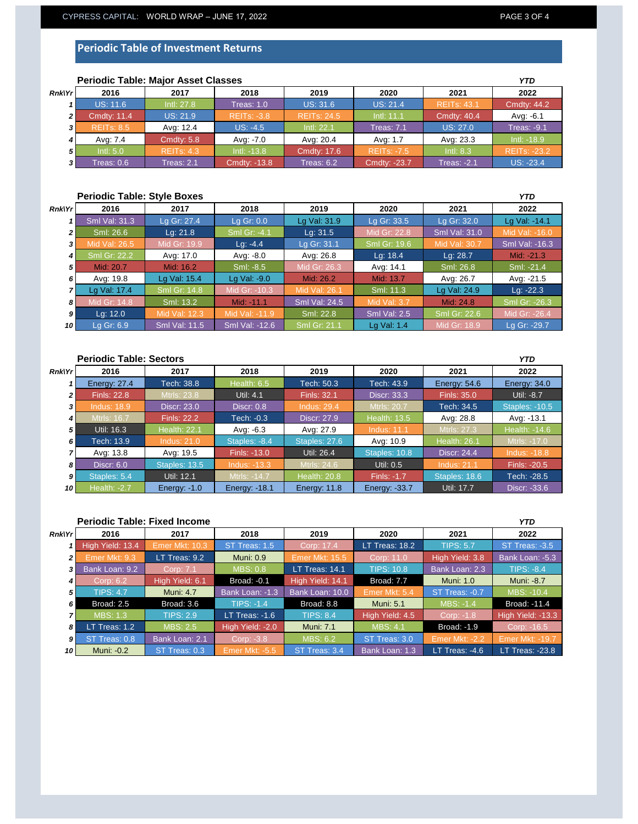## **Periodic Table of Investment Returns**

|        | <b>Periodic Table: Major Asset Classes</b> |                   |                    |                    |                    |                    |                     |
|--------|--------------------------------------------|-------------------|--------------------|--------------------|--------------------|--------------------|---------------------|
| Rnk Yr | 2016                                       | 2017              | 2018               | 2019               | 2020               | 2021               | 2022                |
|        | <b>US: 11.6</b>                            | Intl: 27.8        | <b>Treas: 1.0</b>  | <b>US: 31.6</b>    | <b>US: 21.4</b>    | <b>REITs: 43.1</b> | <b>Cmdty: 44.2</b>  |
| ا 2    | <b>Cmdty: 11.4</b>                         | <b>US: 21.9</b>   | <b>REITS: -3.8</b> | <b>REITs: 24.5</b> | Intl: 11.1         | <b>Cmdty: 40.4</b> | Avg: -6.1           |
| 3I     | <b>REITS: 8.5</b>                          | Avg: 12.4         | $US: -4.5$         | Intl: 22.1         | <b>Treas: 7.1</b>  | <b>US: 27.0</b>    | <b>Treas: -9.1</b>  |
|        | Avg: 7.4                                   | Cmdty: 5.8        | Avg: -7.0          | Avg: 20.4          | Avg: 1.7           | Avg: 23.3          | Intl: -18.9         |
| 5 I    | Intl: 5.0                                  | <b>REITS: 4.3</b> | Intl: -13.8        | <b>Cmdty: 17.6</b> | <b>REITS: -7.5</b> | Intl: 8.3          | <b>REITs: -23.2</b> |
| 31     | Treas: 0.6                                 | Treas: 2.1        | Cmdty: -13.8       | Treas: 6.2         | Cmdty: -23.7       | <b>Treas: -2.1</b> | <b>US: -23.4</b>    |

|                | <b>Periodic Table: Style Boxes</b> |                      |                |                      |                     |               |                       |
|----------------|------------------------------------|----------------------|----------------|----------------------|---------------------|---------------|-----------------------|
| <b>Rnk\Yr</b>  | 2016                               | 2017                 | 2018           | 2019                 | 2020                | 2021          | 2022                  |
|                | <b>Sml Val: 31.3</b>               | Lg Gr: 27.4          | Lg Gr: $0.0$   | Lg Val: 31.9         | Lg Gr: 33.5         | Lg Gr: 32.0   | Lg Val: -14.1         |
| $\overline{2}$ | Sml: 26.6                          | Lq: 21.8             | Sml Gr: -4.1   | Lq: 31.5             | Mid Gr: 22.8        | Sml Val: 31.0 | Mid Val: -16.0        |
|                | Mid Val: 26.5                      | Mid Gr: 19.9         | Lg: $-4.4$     | Lg Gr: 31.1          | Sml Gr: 19.6        | Mid Val: 30.7 | <b>Sml Val: -16.3</b> |
| 4 I            | <b>Sml Gr: 22.2</b>                | Avg: 17.0            | Avg: -8.0      | Avg: 26.8            | Lg: $18.4$          | Lg: 28.7      | Mid: -21.3            |
| 5              | Mid: 20.7                          | Mid: 16.2            | Sml: -8.5      | Mid Gr: 26.3         | Avg: 14.1           | Sml: 26.8     | Sml: -21.4            |
| 6              | Avg: 19.8                          | Lg Val: 15.4         | Lg Val: -9.0   | Mid: 26.2            | Mid: 13.7           | Avg: 26.7     | Avg: -21.5            |
|                | Lg Val: 17.4                       | <b>Sml Gr: 14.8</b>  | Mid Gr: -10.3  | Mid Val: 26.1        | Sml: 11.3           | Lg Val: 24.9  | Lg: $-22.3$           |
| 81             | Mid Gr: 14.8                       | Sml: 13.2            | Mid: -11.1     | <b>Sml Val: 24.5</b> | <b>Mid Val: 3.7</b> | Mid: 24.8     | Sml Gr: -26.3         |
| 9 I            | Lg: $12.0$                         | Mid Val: 12.3        | Mid Val: -11.9 | Sml: 22.8            | <b>Sml Val: 2.5</b> | Sml Gr: 22.6  | Mid Gr: -26.4         |
| 10 I           | Lg Gr: 6.9                         | <b>Sml Val: 11.5</b> | Sml Val: -12.6 | <b>Sml Gr: 21.1</b>  | Lg Val: 1.4         | Mid Gr: 18.9  | Lg Gr: -29.7          |

| <b>Periodic Table: Sectors</b><br><b>YTD</b> |                     |                     |                      |                     |                     |                     |                       |
|----------------------------------------------|---------------------|---------------------|----------------------|---------------------|---------------------|---------------------|-----------------------|
| Rnk Yr                                       | 2016                | 2017                | 2018                 | 2019                | 2020                | 2021                | 2022                  |
|                                              | Energy: 27.4        | Tech: 38.8          | Health: 6.5          | Tech: 50.3          | Tech: 43.9          | Energy: 54.6        | Energy: 34.0          |
| 2 I                                          | <b>Finls: 22.8</b>  | Mtrls: 23.8         | Util: 4.1            | <b>Finls: 32.1</b>  | <b>Discr: 33.3</b>  | <b>Finls: 35.0</b>  | Util: -8.7            |
| 3 I                                          | <b>Indus: 18.9</b>  | <b>Discr: 23.0</b>  | <b>Discr: 0.8</b>    | <b>Indus: 29.4</b>  | <b>Mtrls: 20.7</b>  | Tech: 34.5          | <b>Staples: -10.5</b> |
| 4 I                                          | <b>Mtrls: 16.7</b>  | <b>Finls: 22.2</b>  | Tech: -0.3           | Discr: 27.9         | <b>Health: 13.5</b> | Avg: 28.8           | Avg: -13.1            |
| 5 <sub>l</sub>                               | Util: 16.3          | <b>Health: 22.1</b> | Avg: $-6.3$          | Avg: 27.9           | <b>Indus: 11.1</b>  | Mtrls: 27.3         | Health: -14.6         |
| 6 I                                          | Tech: 13.9          | <b>Indus: 21.0</b>  | Staples: -8.4        | Staples: 27.6       | Avg: 10.9           | <b>Health: 26.1</b> | Mtrls: -17.0          |
|                                              | Avg: 13.8           | Avg: 19.5           | Finls: -13.0         | Util: 26.4          | Staples: 10.8       | <b>Discr: 24.4</b>  | <b>Indus: -18.8</b>   |
| 81                                           | <b>Discr: 6.0</b>   | Staples: 13.5       | <b>Indus: -13.3</b>  | Mtrls: 24.6         | Util: 0.5           | <b>Indus: 21.1</b>  | Finls: -20.5          |
| 9 I                                          | Staples: 5.4        | Util: 12.1          | Mtrls: -14.7         | <b>Health: 20.8</b> | <b>Finls: -1.7</b>  | Staples: 18.6       | Tech: -28.5           |
| 10 I                                         | <b>Health: -2.7</b> | Energy: -1.0        | <b>Energy: -18.1</b> | <b>Energy: 11.8</b> | Energy: -33.7       | Util: 17.7          | Discr: -33.6          |

| <b>Periodic Table: Fixed Income</b> |                   |                  |                       |                       |                   |                       | <b>YTD</b>             |
|-------------------------------------|-------------------|------------------|-----------------------|-----------------------|-------------------|-----------------------|------------------------|
| Rnk Yr                              | 2016              | 2017             | 2018                  | 2019                  | 2020              | 2021                  | 2022                   |
|                                     | High Yield: 13.4  | Emer Mkt: 10.3   | ST Treas: 1.5         | Corp: 17.4            | LT Treas: 18.2    | <b>TIPS: 5.7</b>      | ST Treas: -3.5         |
| 21                                  | Emer Mkt: 9.3     | LT Treas: 9.2    | <b>Muni: 0.9</b>      | <b>Emer Mkt: 15.5</b> | Corp: 11.0        | High Yield: 3.8       | Bank Loan: -5.3        |
| 3 I                                 | Bank Loan: 9.2    | Corp: 7.1        | <b>MBS: 0.8</b>       | LT Treas: 14.1        | <b>TIPS: 10.8</b> | Bank Loan: 2.3        | <b>TIPS: -8.4</b>      |
| 4 I                                 | Corp: 6.2         | High Yield: 6.1  | <b>Broad: -0.1</b>    | High Yield: 14.1      | Broad: 7.7        | <b>Muni: 1.0</b>      | Muni: -8.7             |
| 5 <sub>1</sub>                      | <b>TIPS: 4.7</b>  | <b>Muni: 4.7</b> | Bank Loan: -1.3       | Bank Loan: 10.0       | Emer Mkt: 5.4     | ST Treas: -0.7        | MBS: -10.4             |
| 6 <sup>1</sup>                      | <b>Broad: 2.5</b> | Broad: 3.6       | <b>TIPS: -1.4</b>     | Broad: 8.8            | <b>Muni: 5.1</b>  | <b>MBS: -1.4</b>      | Broad: -11.4           |
| 7 I                                 | <b>MBS: 1.3</b>   | <b>TIPS: 2.9</b> | LT Treas: $-1.6$      | <b>TIPS: 8.4</b>      | High Yield: 4.5   | Corp: -1.8            | High Yield: -13.3      |
| 8 I                                 | LT Treas: 1.2     | <b>MBS: 2.5</b>  | High Yield: -2.0      | <b>Muni: 7.1</b>      | MBS: 4.1          | <b>Broad: -1.9</b>    | Corp: -16.5            |
| 9 <sup>1</sup>                      | ST Treas: 0.8     | Bank Loan: 2.1   | Corp: -3.8            | <b>MBS: 6.2</b>       | ST Treas: 3.0     | <b>Emer Mkt: -2.2</b> | <b>Emer Mkt: -19.7</b> |
| 10 I                                | Muni: -0.2        | ST Treas: 0.3    | <b>Emer Mkt: -5.5</b> | ST Treas: 3.4         | Bank Loan: 1.3    | LT Treas: -4.6        | <b>LT Treas: -23.8</b> |